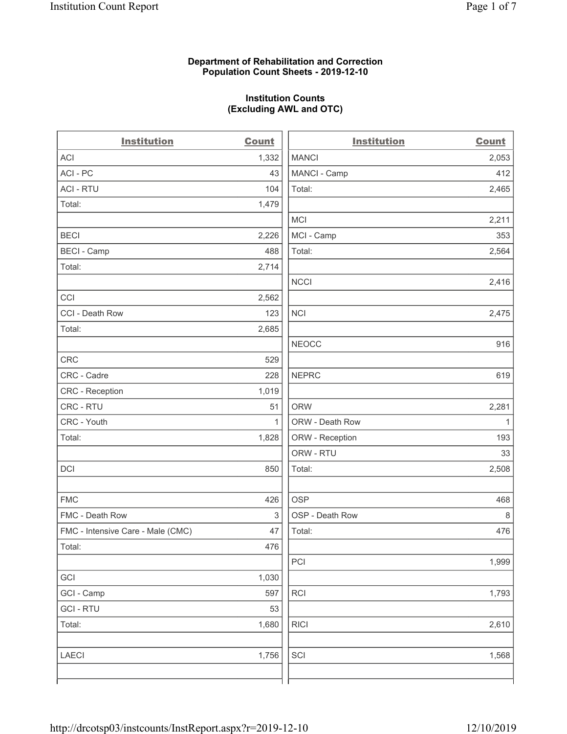#### **Department of Rehabilitation and Correction Population Count Sheets - 2019-12-10**

## **Institution Counts (Excluding AWL and OTC)**

 $\overline{a}$ 

| <b>Institution</b>                | <b>Count</b> | <b>Institution</b> | Count        |
|-----------------------------------|--------------|--------------------|--------------|
| ACI                               | 1,332        | <b>MANCI</b>       | 2,053        |
| ACI-PC                            | 43           | MANCI - Camp       | 412          |
| <b>ACI - RTU</b>                  | 104          | Total:             | 2,465        |
| Total:                            | 1,479        |                    |              |
|                                   |              | MCI                | 2,211        |
| <b>BECI</b>                       | 2,226        | MCI - Camp         | 353          |
| <b>BECI - Camp</b>                | 488          | Total:             | 2,564        |
| Total:                            | 2,714        |                    |              |
|                                   |              | <b>NCCI</b>        | 2,416        |
| CCI                               | 2,562        |                    |              |
| CCI - Death Row                   | 123          | <b>NCI</b>         | 2,475        |
| Total:                            | 2,685        |                    |              |
|                                   |              | <b>NEOCC</b>       | 916          |
| <b>CRC</b>                        | 529          |                    |              |
| CRC - Cadre                       | 228          | <b>NEPRC</b>       | 619          |
| CRC - Reception                   | 1,019        |                    |              |
| CRC - RTU                         | 51           | <b>ORW</b>         | 2,281        |
| CRC - Youth                       | $\mathbf{1}$ | ORW - Death Row    | $\mathbf{1}$ |
| Total:                            | 1,828        | ORW - Reception    | 193          |
|                                   |              | ORW - RTU          | 33           |
| DCI                               | 850          | Total:             | 2,508        |
| <b>FMC</b>                        | 426          | <b>OSP</b>         | 468          |
| FMC - Death Row                   | 3            | OSP - Death Row    | 8            |
| FMC - Intensive Care - Male (CMC) | 47           | Total:             | 476          |
| Total:                            | 476          |                    |              |
|                                   |              | PCI                | 1,999        |
| GCI                               | 1,030        |                    |              |
| GCI - Camp                        | 597          | <b>RCI</b>         | 1,793        |
| <b>GCI-RTU</b>                    | 53           |                    |              |
| Total:                            | 1,680        | <b>RICI</b>        | 2,610        |
| LAECI                             | 1,756        | SCI                | 1,568        |
|                                   |              |                    |              |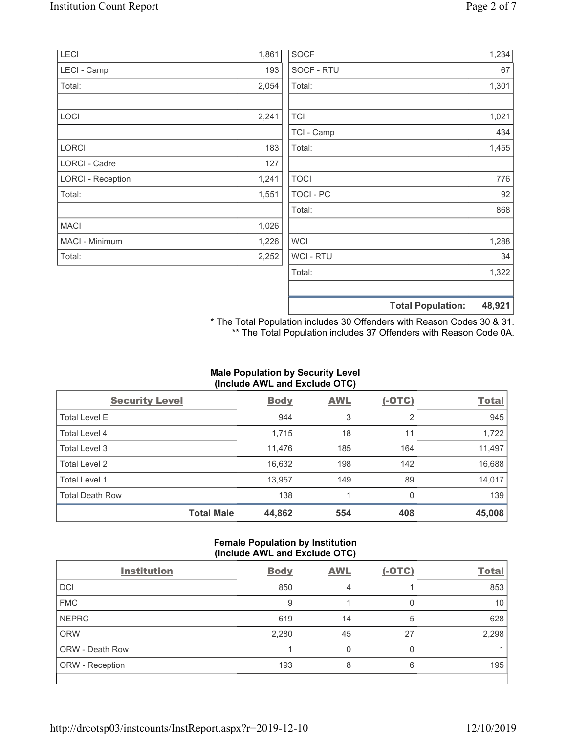| 1,861 | <b>SOCF</b>      | 1,234                              |
|-------|------------------|------------------------------------|
| 193   | SOCF - RTU       | 67                                 |
| 2,054 | Total:           | 1,301                              |
|       |                  |                                    |
| 2,241 | <b>TCI</b>       | 1,021                              |
|       | TCI - Camp       | 434                                |
| 183   | Total:           | 1,455                              |
| 127   |                  |                                    |
| 1,241 | <b>TOCI</b>      | 776                                |
| 1,551 | <b>TOCI - PC</b> | 92                                 |
|       | Total:           | 868                                |
| 1,026 |                  |                                    |
| 1,226 | <b>WCI</b>       | 1,288                              |
| 2,252 | <b>WCI-RTU</b>   | 34                                 |
|       | Total:           | 1,322                              |
|       |                  | 48,921<br><b>Total Population:</b> |
|       |                  |                                    |

\* The Total Population includes 30 Offenders with Reason Codes 30 & 31. \*\* The Total Population includes 37 Offenders with Reason Code 0A.

### **Male Population by Security Level (Include AWL and Exclude OTC)**

| <b>Security Level</b>  |                   | <b>Body</b> | <b>AWL</b> | $(-OTC)$ | <b>Total</b> |
|------------------------|-------------------|-------------|------------|----------|--------------|
| <b>Total Level E</b>   |                   | 944         | 3          | 2        | 945          |
| <b>Total Level 4</b>   |                   | 1,715       | 18         | 11       | 1,722        |
| Total Level 3          |                   | 11,476      | 185        | 164      | 11,497       |
| Total Level 2          |                   | 16,632      | 198        | 142      | 16,688       |
| Total Level 1          |                   | 13,957      | 149        | 89       | 14,017       |
| <b>Total Death Row</b> |                   | 138         |            | $\Omega$ | 139          |
|                        | <b>Total Male</b> | 44,862      | 554        | 408      | 45,008       |

#### **Female Population by Institution (Include AWL and Exclude OTC)**

| $\cdot$                |             | . .        |          |              |
|------------------------|-------------|------------|----------|--------------|
| <b>Institution</b>     | <b>Body</b> | <b>AWL</b> | $(-OTC)$ | <b>Total</b> |
| <b>DCI</b>             | 850         | 4          |          | 853          |
| <b>FMC</b>             | 9           |            |          | 10           |
| <b>NEPRC</b>           | 619         | 14         | 5        | 628          |
| <b>ORW</b>             | 2,280       | 45         | 27       | 2,298        |
| <b>ORW - Death Row</b> |             | 0          | 0        |              |
| <b>ORW</b> - Reception | 193         | 8          | 6        | 195          |
|                        |             |            |          |              |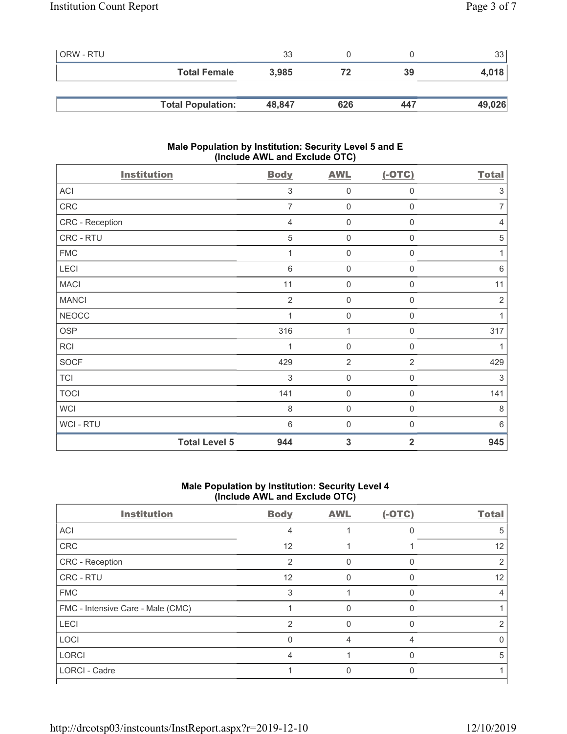| ORW - RTU |                          | 33     |     |     | 33     |
|-----------|--------------------------|--------|-----|-----|--------|
|           | <b>Total Female</b>      | 3.985  | 72  | 39  | 4,018  |
|           |                          |        |     |     |        |
|           | <b>Total Population:</b> | 48,847 | 626 | 447 | 49,026 |

#### **Male Population by Institution: Security Level 5 and E (Include AWL and Exclude OTC)**

| <b>Institution</b>   | <b>Body</b>    | <b>AWL</b>          | $(-OTC)$            | <b>Total</b>    |
|----------------------|----------------|---------------------|---------------------|-----------------|
| ACI                  | 3              | $\mathbf{0}$        | 0                   | 3               |
| ${\sf CRC}$          | $\overline{7}$ | $\boldsymbol{0}$    | $\boldsymbol{0}$    | $\overline{7}$  |
| CRC - Reception      | $\overline{4}$ | $\mathbf 0$         | 0                   | $\overline{4}$  |
| CRC - RTU            | 5              | $\mathbf 0$         | $\mathbf 0$         | 5               |
| <b>FMC</b>           | 1              | $\mathbf 0$         | 0                   | 1               |
| LECI                 | $6\,$          | $\mathbf 0$         | 0                   | $\,6\,$         |
| <b>MACI</b>          | 11             | $\mathbf 0$         | 0                   | 11              |
| <b>MANCI</b>         | $\overline{2}$ | $\boldsymbol{0}$    | 0                   | $\sqrt{2}$      |
| <b>NEOCC</b>         | 1              | $\mathsf{O}\xspace$ | 0                   | 1               |
| OSP                  | 316            | 1                   | $\boldsymbol{0}$    | 317             |
| RCI                  | 1              | $\mathbf 0$         | $\boldsymbol{0}$    | 1               |
| <b>SOCF</b>          | 429            | $\overline{2}$      | $\overline{2}$      | 429             |
| <b>TCI</b>           | 3              | $\mathbf 0$         | $\mathsf{O}\xspace$ | 3               |
| <b>TOCI</b>          | 141            | $\mathsf{O}\xspace$ | $\boldsymbol{0}$    | 141             |
| <b>WCI</b>           | 8              | $\mathbf 0$         | $\mathbf 0$         | 8               |
| WCI - RTU            | $6\,$          | $\mathsf{O}\xspace$ | $\mathbf 0$         | $6\phantom{1}6$ |
| <b>Total Level 5</b> | 944            | 3                   | $\overline{2}$      | 945             |

#### **Male Population by Institution: Security Level 4 (Include AWL and Exclude OTC)**

| <b>Institution</b>                | <b>Body</b>    | <b>AWL</b> | $(-OTC)$ | <b>Total</b> |
|-----------------------------------|----------------|------------|----------|--------------|
| ACI                               | 4              |            |          | 5            |
| CRC                               | 12             |            |          | 12           |
| CRC - Reception                   | $\overline{2}$ | 0          | $\Omega$ |              |
| CRC - RTU                         | 12             | O          | n        | 12           |
| <b>FMC</b>                        | 3              |            |          |              |
| FMC - Intensive Care - Male (CMC) |                |            |          |              |
| LECI                              | $\overline{2}$ | 0          | $\Omega$ |              |
| LOCI                              | 0              | 4          | 4        | O            |
| <b>LORCI</b>                      | 4              |            |          | 5            |
| LORCI - Cadre                     |                |            |          |              |
|                                   |                |            |          |              |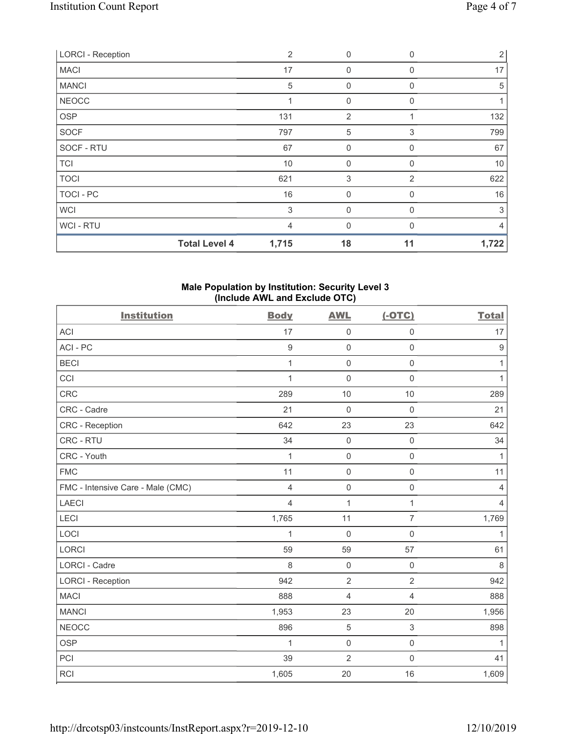| <b>LORCI - Reception</b> |                      | $\overline{2}$ | 0              | $\Omega$       | $\overline{2}$ |
|--------------------------|----------------------|----------------|----------------|----------------|----------------|
| <b>MACI</b>              |                      | 17             | $\mathbf 0$    | $\Omega$       | 17             |
| <b>MANCI</b>             |                      | $\sqrt{5}$     | $\mathbf 0$    | $\Omega$       | 5              |
| <b>NEOCC</b>             |                      |                | $\mathbf{0}$   | O              |                |
| <b>OSP</b>               |                      | 131            | $\overline{2}$ |                | 132            |
| <b>SOCF</b>              |                      | 797            | 5              | 3              | 799            |
| SOCF - RTU               |                      | 67             | 0              | $\Omega$       | 67             |
| <b>TCI</b>               |                      | 10             | $\mathbf{0}$   | $\Omega$       | 10             |
| <b>TOCI</b>              |                      | 621            | 3              | $\overline{2}$ | 622            |
| TOCI - PC                |                      | 16             | $\mathbf{0}$   | 0              | 16             |
| <b>WCI</b>               |                      | 3              | $\mathbf{0}$   | $\Omega$       | 3              |
| WCI - RTU                |                      | $\overline{4}$ | $\Omega$       | $\Omega$       | $\overline{4}$ |
|                          | <b>Total Level 4</b> | 1,715          | 18             | 11             | 1,722          |

#### **Male Population by Institution: Security Level 3 (Include AWL and Exclude OTC)**

| <b>Institution</b>                | <b>Body</b>      | <b>AWL</b>          | $(-OTC)$            | <b>Total</b>   |
|-----------------------------------|------------------|---------------------|---------------------|----------------|
| <b>ACI</b>                        | 17               | $\mathsf{O}\xspace$ | $\mathsf{O}\xspace$ | 17             |
| ACI-PC                            | $\boldsymbol{9}$ | $\mathsf{O}\xspace$ | $\mathsf 0$         | $9\,$          |
| <b>BECI</b>                       | 1                | $\mathsf{O}\xspace$ | $\mathsf 0$         | 1              |
| CCI                               | $\mathbf{1}$     | $\mathsf{O}\xspace$ | $\mathsf 0$         | $\mathbf{1}$   |
| CRC                               | 289              | 10                  | 10                  | 289            |
| CRC - Cadre                       | 21               | $\mathbf 0$         | $\mathbf 0$         | 21             |
| <b>CRC</b> - Reception            | 642              | 23                  | 23                  | 642            |
| CRC - RTU                         | 34               | $\mathbf 0$         | $\mathsf{O}\xspace$ | 34             |
| CRC - Youth                       | 1                | $\mathsf{O}\xspace$ | $\mathsf{O}\xspace$ | $\mathbf{1}$   |
| <b>FMC</b>                        | 11               | $\mathbf 0$         | $\mathsf 0$         | 11             |
| FMC - Intensive Care - Male (CMC) | $\overline{4}$   | $\mathsf 0$         | $\mathsf{O}\xspace$ | $\overline{4}$ |
| <b>LAECI</b>                      | $\overline{4}$   | $\mathbf{1}$        | $\mathbf{1}$        | $\overline{4}$ |
| LECI                              | 1,765            | 11                  | $\overline{7}$      | 1,769          |
| LOCI                              | 1                | $\mathbf 0$         | $\mathsf 0$         | 1              |
| <b>LORCI</b>                      | 59               | 59                  | 57                  | 61             |
| <b>LORCI - Cadre</b>              | 8                | $\mathsf{O}\xspace$ | $\mathsf{O}\xspace$ | 8              |
| <b>LORCI - Reception</b>          | 942              | $\overline{2}$      | $\overline{2}$      | 942            |
| <b>MACI</b>                       | 888              | $\overline{4}$      | $\overline{4}$      | 888            |
| <b>MANCI</b>                      | 1,953            | 23                  | 20                  | 1,956          |
| <b>NEOCC</b>                      | 896              | $\mathbf 5$         | 3                   | 898            |
| <b>OSP</b>                        | 1                | $\mathsf{O}\xspace$ | $\mathsf{O}\xspace$ | 1              |
| PCI                               | 39               | $\overline{2}$      | $\mathsf 0$         | 41             |
| RCI                               | 1,605            | 20                  | 16                  | 1,609          |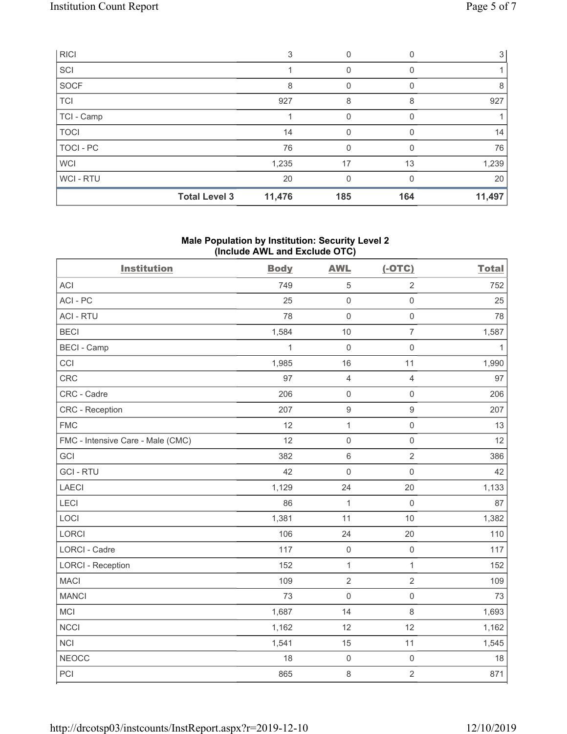| RICI        |                      | 3      |          |     | 3 l    |
|-------------|----------------------|--------|----------|-----|--------|
| SCI         |                      |        | 0        | 0   |        |
| SOCF        |                      | 8      | 0        |     | 8      |
| <b>TCI</b>  |                      | 927    | 8        | 8   | 927    |
| TCI - Camp  |                      |        |          |     |        |
| <b>TOCI</b> |                      | 14     | $\Omega$ | 0   | 14     |
| TOCI-PC     |                      | 76     | 0        |     | 76     |
| <b>WCI</b>  |                      | 1,235  | 17       | 13  | 1,239  |
| WCI-RTU     |                      | 20     | $\Omega$ |     | 20     |
|             | <b>Total Level 3</b> | 11,476 | 185      | 164 | 11,497 |

#### **Male Population by Institution: Security Level 2 (Include AWL and Exclude OTC)**

| <b>Institution</b>                | <b>Body</b>  | <b>AWL</b>          | $(-OTC)$            | <b>Total</b> |
|-----------------------------------|--------------|---------------------|---------------------|--------------|
| <b>ACI</b>                        | 749          | $\sqrt{5}$          | $\overline{2}$      | 752          |
| ACI-PC                            | 25           | $\mathbf 0$         | $\mathsf{O}\xspace$ | 25           |
| <b>ACI - RTU</b>                  | 78           | $\mathbf 0$         | $\mathsf{O}\xspace$ | 78           |
| <b>BECI</b>                       | 1,584        | 10                  | $\overline{7}$      | 1,587        |
| <b>BECI - Camp</b>                | $\mathbf{1}$ | $\mathbf 0$         | $\mathsf{O}\xspace$ | $\mathbf{1}$ |
| CCI                               | 1,985        | 16                  | 11                  | 1,990        |
| <b>CRC</b>                        | 97           | $\overline{4}$      | $\overline{4}$      | 97           |
| CRC - Cadre                       | 206          | $\mathsf{O}\xspace$ | $\mathsf{O}\xspace$ | 206          |
| CRC - Reception                   | 207          | $\boldsymbol{9}$    | $\boldsymbol{9}$    | 207          |
| <b>FMC</b>                        | 12           | $\mathbf{1}$        | $\mathsf{O}\xspace$ | 13           |
| FMC - Intensive Care - Male (CMC) | 12           | $\mathbf 0$         | $\mathsf{O}\xspace$ | 12           |
| GCI                               | 382          | $\,6\,$             | $\sqrt{2}$          | 386          |
| <b>GCI-RTU</b>                    | 42           | $\mathbf 0$         | $\mathsf 0$         | 42           |
| LAECI                             | 1,129        | 24                  | 20                  | 1,133        |
| LECI                              | 86           | $\mathbf 1$         | $\mathsf{O}\xspace$ | 87           |
| LOCI                              | 1,381        | 11                  | 10                  | 1,382        |
| LORCI                             | 106          | 24                  | 20                  | 110          |
| LORCI - Cadre                     | 117          | $\mathsf{O}\xspace$ | $\mathbf 0$         | 117          |
| <b>LORCI - Reception</b>          | 152          | $\mathbf{1}$        | $\overline{1}$      | 152          |
| <b>MACI</b>                       | 109          | $\sqrt{2}$          | $\sqrt{2}$          | 109          |
| <b>MANCI</b>                      | 73           | $\mathbf 0$         | $\mathsf{O}\xspace$ | 73           |
| MCI                               | 1,687        | 14                  | $\,8\,$             | 1,693        |
| <b>NCCI</b>                       | 1,162        | 12                  | 12                  | 1,162        |
| NCI                               | 1,541        | 15                  | 11                  | 1,545        |
| <b>NEOCC</b>                      | 18           | $\mathsf{O}\xspace$ | $\mathsf{O}\xspace$ | 18           |
| PCI                               | 865          | 8                   | $\overline{2}$      | 871          |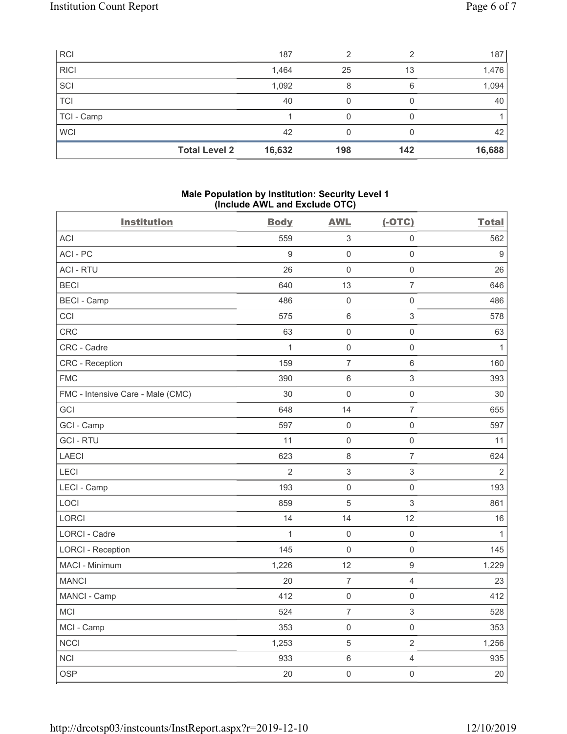| <b>RCI</b>  |                      | 187    | ◠   |     | 187    |
|-------------|----------------------|--------|-----|-----|--------|
| <b>RICI</b> |                      | 1,464  | 25  | 13  | 1,476  |
| SCI         |                      | 1,092  | 8   | 6   | 1,094  |
| TCI         |                      | 40     |     |     | 40     |
| TCI - Camp  |                      |        |     |     |        |
| <b>WCI</b>  |                      | 42     |     |     | 42     |
|             | <b>Total Level 2</b> | 16,632 | 198 | 142 | 16,688 |

#### **Male Population by Institution: Security Level 1 (Include AWL and Exclude OTC)**

| <b>Institution</b>                | <b>Body</b>    | <b>AWL</b>                | $(-OTC)$            | <b>Total</b>     |
|-----------------------------------|----------------|---------------------------|---------------------|------------------|
| <b>ACI</b>                        | 559            | $\ensuremath{\mathsf{3}}$ | $\mathsf{O}\xspace$ | 562              |
| ACI-PC                            | 9              | $\mathsf{O}\xspace$       | $\mathsf{O}\xspace$ | $\boldsymbol{9}$ |
| <b>ACI - RTU</b>                  | 26             | $\mathsf 0$               | $\mathsf{O}\xspace$ | 26               |
| <b>BECI</b>                       | 640            | 13                        | $\overline{7}$      | 646              |
| <b>BECI - Camp</b>                | 486            | $\mathsf{O}\xspace$       | $\mathsf 0$         | 486              |
| CCI                               | 575            | $\,6\,$                   | $\sqrt{3}$          | 578              |
| <b>CRC</b>                        | 63             | $\mathsf 0$               | $\mathsf{O}\xspace$ | 63               |
| CRC - Cadre                       | $\mathbf{1}$   | $\mathsf 0$               | $\mathsf 0$         | $\mathbf{1}$     |
| CRC - Reception                   | 159            | $\overline{7}$            | $6\,$               | 160              |
| <b>FMC</b>                        | 390            | $\,6\,$                   | $\mathfrak{S}$      | 393              |
| FMC - Intensive Care - Male (CMC) | 30             | $\mathbf 0$               | $\mathsf{O}\xspace$ | 30               |
| GCI                               | 648            | 14                        | $\overline{7}$      | 655              |
| GCI - Camp                        | 597            | $\mathsf{O}\xspace$       | $\mathsf{O}\xspace$ | 597              |
| <b>GCI-RTU</b>                    | 11             | $\mathbf 0$               | $\mathsf{O}\xspace$ | 11               |
| <b>LAECI</b>                      | 623            | $\,8\,$                   | $\overline{7}$      | 624              |
| LECI                              | $\overline{2}$ | $\ensuremath{\mathsf{3}}$ | $\mathfrak{S}$      | $\overline{2}$   |
| LECI - Camp                       | 193            | $\mathsf{O}\xspace$       | $\mathsf{O}\xspace$ | 193              |
| LOCI                              | 859            | $\overline{5}$            | $\mathfrak{S}$      | 861              |
| LORCI                             | 14             | 14                        | 12                  | 16               |
| LORCI - Cadre                     | $\mathbf{1}$   | $\mathsf 0$               | $\mathsf 0$         | $\mathbf{1}$     |
| <b>LORCI - Reception</b>          | 145            | $\mathsf 0$               | $\mathsf 0$         | 145              |
| MACI - Minimum                    | 1,226          | 12                        | $\overline{9}$      | 1,229            |
| <b>MANCI</b>                      | 20             | $\overline{7}$            | $\overline{4}$      | 23               |
| MANCI - Camp                      | 412            | $\mathsf{O}\xspace$       | $\mathsf 0$         | 412              |
| <b>MCI</b>                        | 524            | $\overline{7}$            | 3                   | 528              |
| MCI - Camp                        | 353            | $\mathsf 0$               | $\mathsf{O}\xspace$ | 353              |
| <b>NCCI</b>                       | 1,253          | $\mathbf 5$               | $\mathbf{2}$        | 1,256            |
| <b>NCI</b>                        | 933            | $\,6\,$                   | $\overline{4}$      | 935              |
| <b>OSP</b>                        | 20             | $\mathsf 0$               | $\mathsf 0$         | 20               |